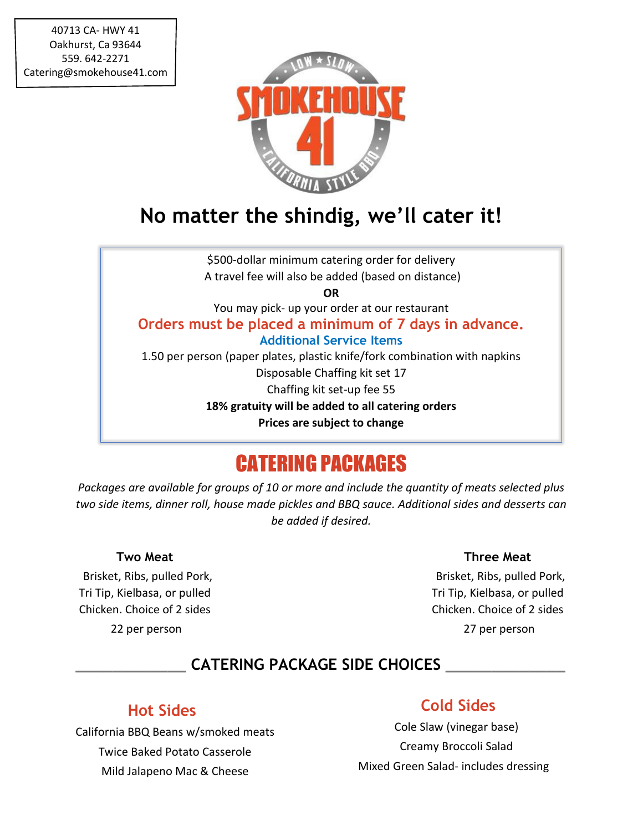

## **No matter the shindig, we'll cater it!**

\$500-dollar minimum catering order for delivery A travel fee will also be added (based on distance) **OR** You may pick- up your order at our restaurant **Orders must be placed a minimum of 7 days in advance. Additional Service Items** 1.50 per person (paper plates, plastic knife/fork combination with napkins Disposable Chaffing kit set 17 Chaffing kit set-up fee 55 **18% gratuity will be added to all catering orders Prices are subject to change**

## CATERING PACKAGES

*Packages are available for groups of 10 or more and include the quantity of meats selected plus two side items, dinner roll, house made pickles and BBQ sauce. Additional sides and desserts can be added if desired.*

#### **Two Meat**

 Brisket, Ribs, pulled Pork, Tri Tip, Kielbasa, or pulled Chicken. Choice of 2 sides 22 per person

#### **Three Meat**

 Brisket, Ribs, pulled Pork, Tri Tip, Kielbasa, or pulled Chicken. Choice of 2 sides 27 per person

### **\_\_\_\_\_\_\_\_\_\_\_\_ CATERING PACKAGE SIDE CHOICES \_\_\_\_\_\_\_\_\_\_\_\_\_**

#### **Hot Sides**

California BBQ Beans w/smoked meats Twice Baked Potato Casserole Mild Jalapeno Mac & Cheese

#### **Cold Sides**

 Cole Slaw (vinegar base) Creamy Broccoli Salad Mixed Green Salad- includes dressing